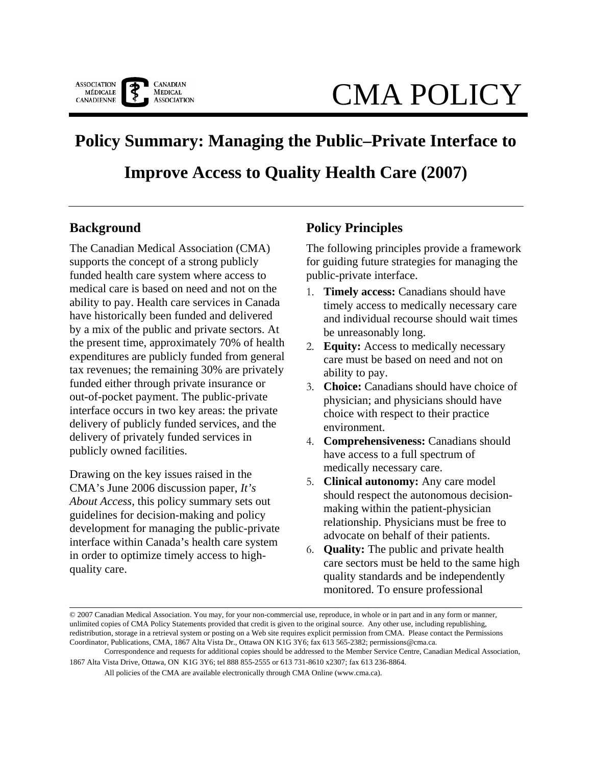

# CMA POLICY

# **Policy Summary: Managing the Public–Private Interface to Improve Access to Quality Health Care (2007)**

### **Background**

The Canadian Medical Association (CMA) supports the concept of a strong publicly funded health care system where access to medical care is based on need and not on the ability to pay. Health care services in Canada have historically been funded and delivered by a mix of the public and private sectors. At the present time, approximately 70% of health expenditures are publicly funded from general tax revenues; the remaining 30% are privately funded either through private insurance or out-of-pocket payment. The public-private interface occurs in two key areas: the private delivery of publicly funded services, and the delivery of privately funded services in publicly owned facilities.

Drawing on the key issues raised in the CMA's June 2006 discussion paper, *It's About Access*, this policy summary sets out guidelines for decision-making and policy development for managing the public-private interface within Canada's health care system in order to optimize timely access to highquality care.

## **Policy Principles**

The following principles provide a framework for guiding future strategies for managing the public-private interface.

- 1. **Timely access:** Canadians should have timely access to medically necessary care and individual recourse should wait times be unreasonably long.
- 2. **Equity:** Access to medically necessary care must be based on need and not on ability to pay.
- 3. **Choice:** Canadians should have choice of physician; and physicians should have choice with respect to their practice environment.
- 4. **Comprehensiveness:** Canadians should have access to a full spectrum of medically necessary care.
- 5. **Clinical autonomy:** Any care model should respect the autonomous decisionmaking within the patient-physician relationship. Physicians must be free to advocate on behalf of their patients.
- 6. **Quality:** The public and private health care sectors must be held to the same high quality standards and be independently monitored. To ensure professional

<sup>© 2007</sup> Canadian Medical Association. You may, for your non-commercial use, reproduce, in whole or in part and in any form or manner, unlimited copies of CMA Policy Statements provided that credit is given to the original source. Any other use, including republishing, redistribution, storage in a retrieval system or posting on a Web site requires explicit permission from CMA. Please contact the Permissions Coordinator, Publications, CMA, 1867 Alta Vista Dr., Ottawa ON K1G 3Y6; fax 613 565-2382; permissions@cma.ca.

Correspondence and requests for additional copies should be addressed to the Member Service Centre, Canadian Medical Association, 1867 Alta Vista Drive, Ottawa, ON K1G 3Y6; tel 888 855-2555 or 613 731-8610 x2307; fax 613 236-8864.

All policies of the CMA are available electronically through CMA Online (www.cma.ca).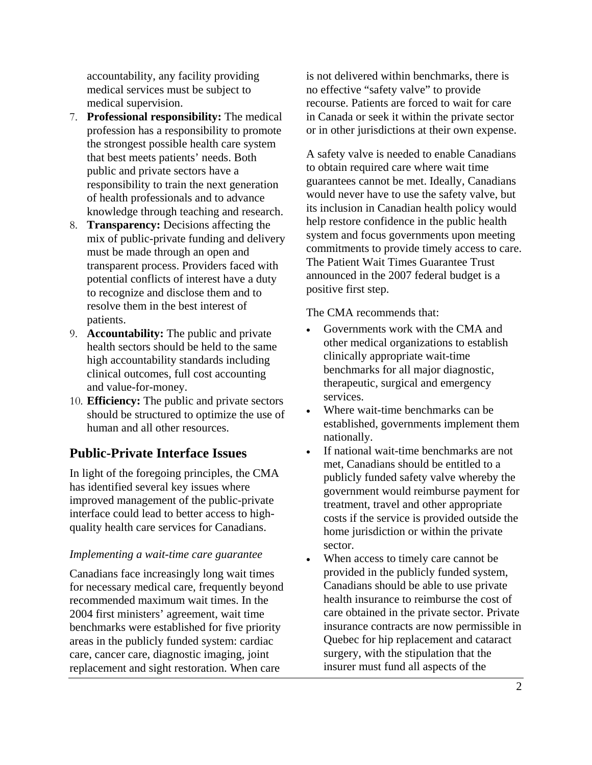accountability, any facility providing medical services must be subject to medical supervision.

- 7. **Professional responsibility:** The medical profession has a responsibility to promote the strongest possible health care system that best meets patients' needs. Both public and private sectors have a responsibility to train the next generation of health professionals and to advance knowledge through teaching and research.
- 8. **Transparency:** Decisions affecting the mix of public-private funding and delivery must be made through an open and transparent process. Providers faced with potential conflicts of interest have a duty to recognize and disclose them and to resolve them in the best interest of patients.
- 9. **Accountability:** The public and private health sectors should be held to the same high accountability standards including clinical outcomes, full cost accounting and value-for-money.
- 10. **Efficiency:** The public and private sectors should be structured to optimize the use of human and all other resources.

# **Public-Private Interface Issues**

In light of the foregoing principles, the CMA has identified several key issues where improved management of the public-private interface could lead to better access to highquality health care services for Canadians.

#### *Implementing a wait-time care guarantee*

Canadians face increasingly long wait times for necessary medical care, frequently beyond recommended maximum wait times. In the 2004 first ministers' agreement, wait time benchmarks were established for five priority areas in the publicly funded system: cardiac care, cancer care, diagnostic imaging, joint replacement and sight restoration. When care

is not delivered within benchmarks, there is no effective "safety valve" to provide recourse. Patients are forced to wait for care in Canada or seek it within the private sector or in other jurisdictions at their own expense.

A safety valve is needed to enable Canadians to obtain required care where wait time guarantees cannot be met. Ideally, Canadians would never have to use the safety valve, but its inclusion in Canadian health policy would help restore confidence in the public health system and focus governments upon meeting commitments to provide timely access to care. The Patient Wait Times Guarantee Trust announced in the 2007 federal budget is a positive first step.

The CMA recommends that:

- Governments work with the CMA and other medical organizations to establish clinically appropriate wait-time benchmarks for all major diagnostic, therapeutic, surgical and emergency services.
- Where wait-time benchmarks can be established, governments implement them nationally.
- If national wait-time benchmarks are not met, Canadians should be entitled to a publicly funded safety valve whereby the government would reimburse payment for treatment, travel and other appropriate costs if the service is provided outside the home jurisdiction or within the private sector.
- When access to timely care cannot be provided in the publicly funded system, Canadians should be able to use private health insurance to reimburse the cost of care obtained in the private sector. Private insurance contracts are now permissible in Quebec for hip replacement and cataract surgery, with the stipulation that the insurer must fund all aspects of the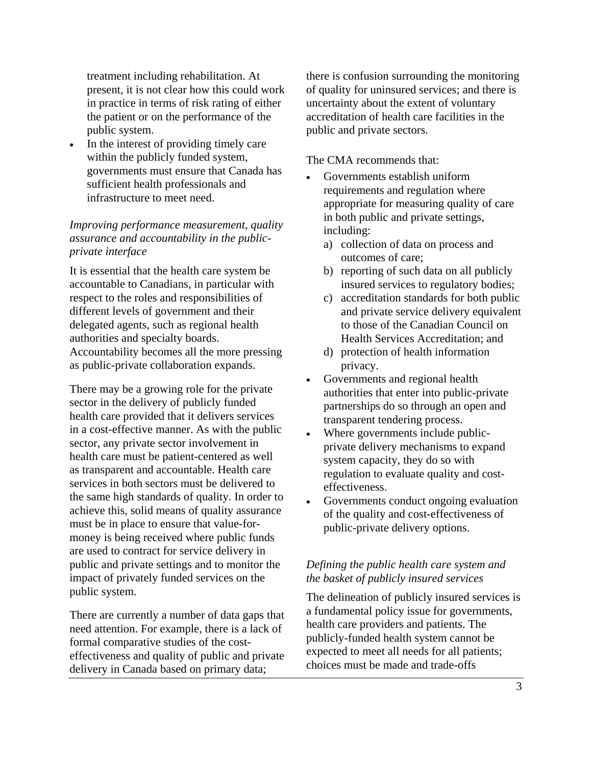treatment including rehabilitation. At present, it is not clear how this could work in practice in terms of risk rating of either the patient or on the performance of the public system.

• In the interest of providing timely care within the publicly funded system, governments must ensure that Canada has sufficient health professionals and infrastructure to meet need.

#### *Improving performance measurement, quality assurance and accountability in the publicprivate interface*

It is essential that the health care system be accountable to Canadians, in particular with respect to the roles and responsibilities of different levels of government and their delegated agents, such as regional health authorities and specialty boards. Accountability becomes all the more pressing as public-private collaboration expands.

There may be a growing role for the private sector in the delivery of publicly funded health care provided that it delivers services in a cost-effective manner. As with the public sector, any private sector involvement in health care must be patient-centered as well as transparent and accountable. Health care services in both sectors must be delivered to the same high standards of quality. In order to achieve this, solid means of quality assurance must be in place to ensure that value-formoney is being received where public funds are used to contract for service delivery in public and private settings and to monitor the impact of privately funded services on the public system.

There are currently a number of data gaps that need attention. For example, there is a lack of formal comparative studies of the costeffectiveness and quality of public and private delivery in Canada based on primary data;

there is confusion surrounding the monitoring of quality for uninsured services; and there is uncertainty about the extent of voluntary accreditation of health care facilities in the public and private sectors.

The CMA recommends that:

- Governments establish uniform requirements and regulation where appropriate for measuring quality of care in both public and private settings, including:
	- a) collection of data on process and outcomes of care;
	- b) reporting of such data on all publicly insured services to regulatory bodies;
	- c) accreditation standards for both public and private service delivery equivalent to those of the Canadian Council on Health Services Accreditation; and
	- d) protection of health information privacy.
- Governments and regional health authorities that enter into public-private partnerships do so through an open and transparent tendering process.
- Where governments include publicprivate delivery mechanisms to expand system capacity, they do so with regulation to evaluate quality and costeffectiveness.
- Governments conduct ongoing evaluation of the quality and cost-effectiveness of public-private delivery options.

#### *Defining the public health care system and the basket of publicly insured services*

The delineation of publicly insured services is a fundamental policy issue for governments, health care providers and patients. The publicly-funded health system cannot be expected to meet all needs for all patients; choices must be made and trade-offs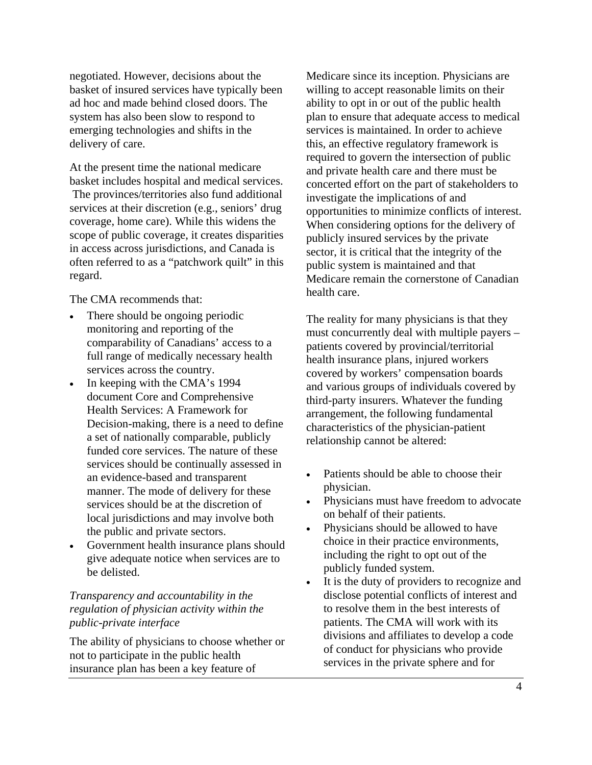negotiated. However, decisions about the basket of insured services have typically been ad hoc and made behind closed doors. The system has also been slow to respond to emerging technologies and shifts in the delivery of care.

At the present time the national medicare basket includes hospital and medical services. The provinces/territories also fund additional services at their discretion (e.g., seniors' drug coverage, home care). While this widens the scope of public coverage, it creates disparities in access across jurisdictions, and Canada is often referred to as a "patchwork quilt" in this regard.

The CMA recommends that:

- There should be ongoing periodic monitoring and reporting of the comparability of Canadians' access to a full range of medically necessary health services across the country.
- In keeping with the CMA's 1994 document Core and Comprehensive Health Services: A Framework for Decision-making, there is a need to define a set of nationally comparable, publicly funded core services. The nature of these services should be continually assessed in an evidence-based and transparent manner. The mode of delivery for these services should be at the discretion of local jurisdictions and may involve both the public and private sectors.
- Government health insurance plans should give adequate notice when services are to be delisted.

#### *Transparency and accountability in the regulation of physician activity within the public-private interface*

The ability of physicians to choose whether or not to participate in the public health insurance plan has been a key feature of

Medicare since its inception. Physicians are willing to accept reasonable limits on their ability to opt in or out of the public health plan to ensure that adequate access to medical services is maintained. In order to achieve this, an effective regulatory framework is required to govern the intersection of public and private health care and there must be concerted effort on the part of stakeholders to investigate the implications of and opportunities to minimize conflicts of interest. When considering options for the delivery of publicly insured services by the private sector, it is critical that the integrity of the public system is maintained and that Medicare remain the cornerstone of Canadian health care.

The reality for many physicians is that they must concurrently deal with multiple payers – patients covered by provincial/territorial health insurance plans, injured workers covered by workers' compensation boards and various groups of individuals covered by third-party insurers. Whatever the funding arrangement, the following fundamental characteristics of the physician-patient relationship cannot be altered:

- Patients should be able to choose their physician.
- Physicians must have freedom to advocate on behalf of their patients.
- Physicians should be allowed to have choice in their practice environments, including the right to opt out of the publicly funded system.
- It is the duty of providers to recognize and disclose potential conflicts of interest and to resolve them in the best interests of patients. The CMA will work with its divisions and affiliates to develop a code of conduct for physicians who provide services in the private sphere and for